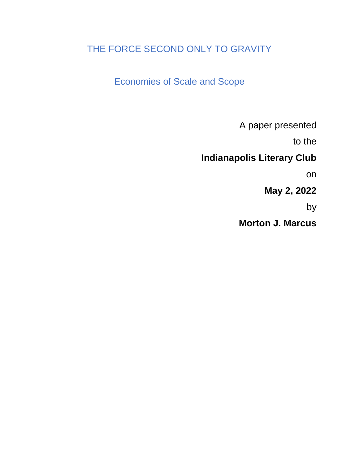## THE FORCE SECOND ONLY TO GRAVITY

Economies of Scale and Scope

A paper presented

to the

## **Indianapolis Literary Club**

on

**May 2, 2022**

by

**Morton J. Marcus**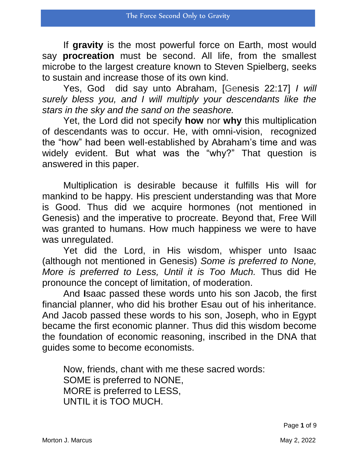If **gravity** is the most powerful force on Earth, most would say **procreation** must be second. All life, from the smallest microbe to the largest creature known to Steven Spielberg, seeks to sustain and increase those of its own kind.

Yes, God did say unto Abraham, [Genesis 22:17] *I will surely bless you, and I will multiply your descendants like the stars in the sky and the sand on the seashore.*

Yet, the Lord did not specify **how** nor **why** this multiplication of descendants was to occur. He, with omni-vision, recognized the "how" had been well-established by Abraham's time and was widely evident. But what was the "why?" That question is answered in this paper.

Multiplication is desirable because it fulfills His will for mankind to be happy. His prescient understanding was that More is Good. Thus did we acquire hormones (not mentioned in Genesis) and the imperative to procreate. Beyond that, Free Will was granted to humans. How much happiness we were to have was unregulated.

Yet did the Lord, in His wisdom, whisper unto Isaac (although not mentioned in Genesis) *Some is preferred to None, More is preferred to Less, Until it is Too Much.* Thus did He pronounce the concept of limitation, of moderation.

And **I**saac passed these words unto his son Jacob, the first financial planner, who did his brother Esau out of his inheritance. And Jacob passed these words to his son, Joseph, who in Egypt became the first economic planner. Thus did this wisdom become the foundation of economic reasoning, inscribed in the DNA that guides some to become economists.

Now, friends, chant with me these sacred words: SOME is preferred to NONE, MORE is preferred to LESS, UNTIL it is TOO MUCH.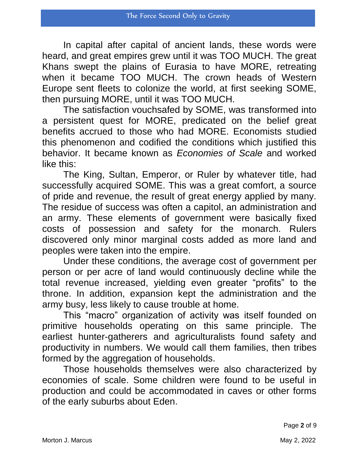In capital after capital of ancient lands, these words were heard, and great empires grew until it was TOO MUCH. The great Khans swept the plains of Eurasia to have MORE, retreating when it became TOO MUCH. The crown heads of Western Europe sent fleets to colonize the world, at first seeking SOME, then pursuing MORE, until it was TOO MUCH.

The satisfaction vouchsafed by SOME, was transformed into a persistent quest for MORE, predicated on the belief great benefits accrued to those who had MORE. Economists studied this phenomenon and codified the conditions which justified this behavior. It became known as *Economies of Scale* and worked like this:

The King, Sultan, Emperor, or Ruler by whatever title, had successfully acquired SOME. This was a great comfort, a source of pride and revenue, the result of great energy applied by many. The residue of success was often a capitol, an administration and an army. These elements of government were basically fixed costs of possession and safety for the monarch. Rulers discovered only minor marginal costs added as more land and peoples were taken into the empire.

Under these conditions, the average cost of government per person or per acre of land would continuously decline while the total revenue increased, yielding even greater "profits" to the throne. In addition, expansion kept the administration and the army busy, less likely to cause trouble at home.

This "macro" organization of activity was itself founded on primitive households operating on this same principle. The earliest hunter-gatherers and agriculturalists found safety and productivity in numbers. We would call them families, then tribes formed by the aggregation of households.

Those households themselves were also characterized by economies of scale. Some children were found to be useful in production and could be accommodated in caves or other forms of the early suburbs about Eden.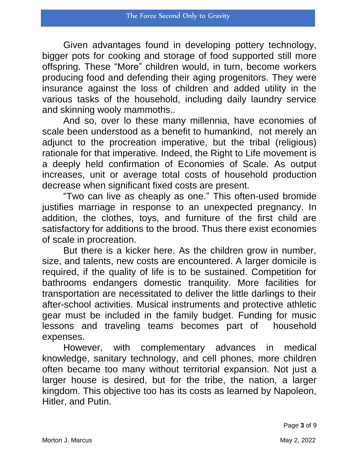Given advantages found in developing pottery technology, bigger pots for cooking and storage of food supported still more offspring. These "More" children would, in turn, become workers producing food and defending their aging progenitors. They were insurance against the loss of children and added utility in the various tasks of the household, including daily laundry service and skinning wooly mammoths..

And so, over lo these many millennia, have economies of scale been understood as a benefit to humankind, not merely an adjunct to the procreation imperative, but the tribal (religious) rationale for that imperative. Indeed, the Right to Life movement is a deeply held confirmation of Economies of Scale. As output increases, unit or average total costs of household production decrease when significant fixed costs are present.

"Two can live as cheaply as one." This often-used bromide justifies marriage in response to an unexpected pregnancy. In addition, the clothes, toys, and furniture of the first child are satisfactory for additions to the brood. Thus there exist economies of scale in procreation.

But there is a kicker here. As the children grow in number, size, and talents, new costs are encountered. A larger domicile is required, if the quality of life is to be sustained. Competition for bathrooms endangers domestic tranquility. More facilities for transportation are necessitated to deliver the little darlings to their after-school activities. Musical instruments and protective athletic gear must be included in the family budget. Funding for music lessons and traveling teams becomes part of household expenses.

However, with complementary advances in medical knowledge, sanitary technology, and cell phones, more children often became too many without territorial expansion. Not just a larger house is desired, but for the tribe, the nation, a larger kingdom. This objective too has its costs as learned by Napoleon, Hitler, and Putin.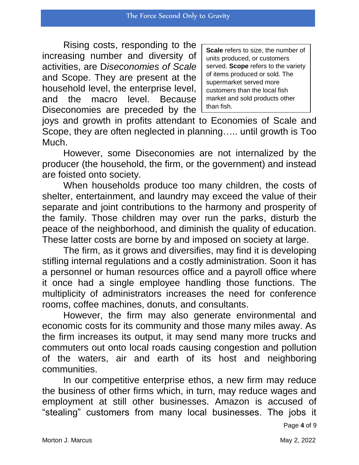Rising costs, responding to the increasing number and diversity of activities, are D*iseconomies of Scale* and Scope. They are present at the household level, the enterprise level, and the macro level. Because Diseconomies are preceded by the

**Scale** refers to size, the number of units produced, or customers served. **Scope** refers to the variety of items produced or sold. The supermarket served more customers than the local fish market and sold products other than fish.

joys and growth in profits attendant to Economies of Scale and Scope, they are often neglected in planning….. until growth is Too Much.

However, some Diseconomies are not internalized by the producer (the household, the firm, or the government) and instead are foisted onto society.

When households produce too many children, the costs of shelter, entertainment, and laundry may exceed the value of their separate and joint contributions to the harmony and prosperity of the family. Those children may over run the parks, disturb the peace of the neighborhood, and diminish the quality of education. These latter costs are borne by and imposed on society at large.

The firm, as it grows and diversifies, may find it is developing stifling internal regulations and a costly administration. Soon it has a personnel or human resources office and a payroll office where it once had a single employee handling those functions. The multiplicity of administrators increases the need for conference rooms, coffee machines, donuts, and consultants.

However, the firm may also generate environmental and economic costs for its community and those many miles away. As the firm increases its output, it may send many more trucks and commuters out onto local roads causing congestion and pollution of the waters, air and earth of its host and neighboring communities.

In our competitive enterprise ethos, a new firm may reduce the business of other firms which, in turn, may reduce wages and employment at still other businesses. Amazon is accused of "stealing" customers from many local businesses. The jobs it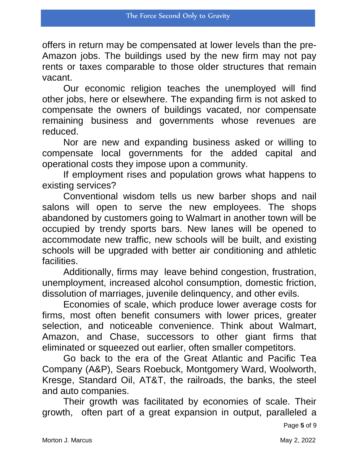offers in return may be compensated at lower levels than the pre-Amazon jobs. The buildings used by the new firm may not pay rents or taxes comparable to those older structures that remain vacant.

Our economic religion teaches the unemployed will find other jobs, here or elsewhere. The expanding firm is not asked to compensate the owners of buildings vacated, nor compensate remaining business and governments whose revenues are reduced.

Nor are new and expanding business asked or willing to compensate local governments for the added capital and operational costs they impose upon a community.

If employment rises and population grows what happens to existing services?

Conventional wisdom tells us new barber shops and nail salons will open to serve the new employees. The shops abandoned by customers going to Walmart in another town will be occupied by trendy sports bars. New lanes will be opened to accommodate new traffic, new schools will be built, and existing schools will be upgraded with better air conditioning and athletic facilities.

Additionally, firms may leave behind congestion, frustration, unemployment, increased alcohol consumption, domestic friction, dissolution of marriages, juvenile delinquency, and other evils.

Economies of scale, which produce lower average costs for firms, most often benefit consumers with lower prices, greater selection, and noticeable convenience. Think about Walmart, Amazon, and Chase, successors to other giant firms that eliminated or squeezed out earlier, often smaller competitors.

Go back to the era of the Great Atlantic and Pacific Tea Company (A&P), Sears Roebuck, Montgomery Ward, Woolworth, Kresge, Standard Oil, AT&T, the railroads, the banks, the steel and auto companies.

Their growth was facilitated by economies of scale. Their growth, often part of a great expansion in output, paralleled a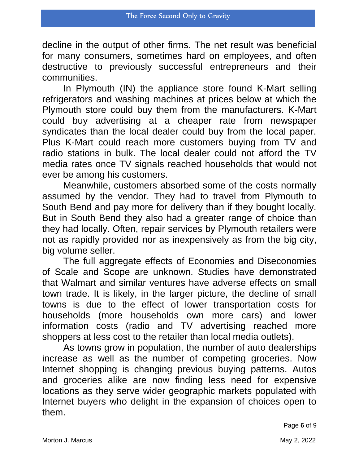decline in the output of other firms. The net result was beneficial for many consumers, sometimes hard on employees, and often destructive to previously successful entrepreneurs and their communities.

In Plymouth (IN) the appliance store found K-Mart selling refrigerators and washing machines at prices below at which the Plymouth store could buy them from the manufacturers. K-Mart could buy advertising at a cheaper rate from newspaper syndicates than the local dealer could buy from the local paper. Plus K-Mart could reach more customers buying from TV and radio stations in bulk. The local dealer could not afford the TV media rates once TV signals reached households that would not ever be among his customers.

Meanwhile, customers absorbed some of the costs normally assumed by the vendor. They had to travel from Plymouth to South Bend and pay more for delivery than if they bought locally. But in South Bend they also had a greater range of choice than they had locally. Often, repair services by Plymouth retailers were not as rapidly provided nor as inexpensively as from the big city, big volume seller.

The full aggregate effects of Economies and Diseconomies of Scale and Scope are unknown. Studies have demonstrated that Walmart and similar ventures have adverse effects on small town trade. It is likely, in the larger picture, the decline of small towns is due to the effect of lower transportation costs for households (more households own more cars) and lower information costs (radio and TV advertising reached more shoppers at less cost to the retailer than local media outlets).

As towns grow in population, the number of auto dealerships increase as well as the number of competing groceries. Now Internet shopping is changing previous buying patterns. Autos and groceries alike are now finding less need for expensive locations as they serve wider geographic markets populated with Internet buyers who delight in the expansion of choices open to them.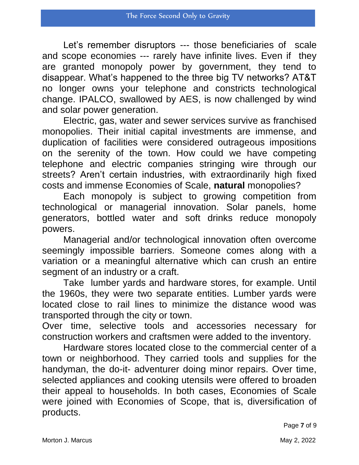Let's remember disruptors --- those beneficiaries of scale and scope economies --- rarely have infinite lives. Even if they are granted monopoly power by government, they tend to disappear. What's happened to the three big TV networks? AT&T no longer owns your telephone and constricts technological change. IPALCO, swallowed by AES, is now challenged by wind and solar power generation.

Electric, gas, water and sewer services survive as franchised monopolies. Their initial capital investments are immense, and duplication of facilities were considered outrageous impositions on the serenity of the town. How could we have competing telephone and electric companies stringing wire through our streets? Aren't certain industries, with extraordinarily high fixed costs and immense Economies of Scale, **natural** monopolies?

Each monopoly is subject to growing competition from technological or managerial innovation. Solar panels, home generators, bottled water and soft drinks reduce monopoly powers.

Managerial and/or technological innovation often overcome seemingly impossible barriers. Someone comes along with a variation or a meaningful alternative which can crush an entire segment of an industry or a craft.

Take lumber yards and hardware stores, for example. Until the 1960s, they were two separate entities. Lumber yards were located close to rail lines to minimize the distance wood was transported through the city or town.

Over time, selective tools and accessories necessary for construction workers and craftsmen were added to the inventory.

Hardware stores located close to the commercial center of a town or neighborhood. They carried tools and supplies for the handyman, the do-it- adventurer doing minor repairs. Over time, selected appliances and cooking utensils were offered to broaden their appeal to households. In both cases, Economies of Scale were joined with Economies of Scope, that is, diversification of products.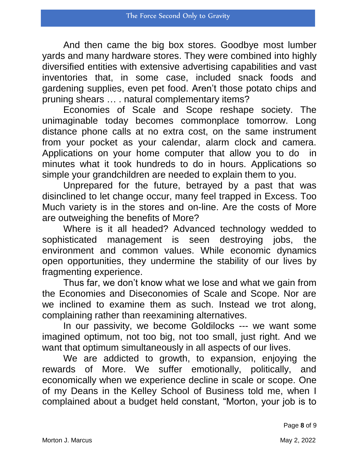And then came the big box stores. Goodbye most lumber yards and many hardware stores. They were combined into highly diversified entities with extensive advertising capabilities and vast inventories that, in some case, included snack foods and gardening supplies, even pet food. Aren't those potato chips and pruning shears … . natural complementary items?

Economies of Scale and Scope reshape society. The unimaginable today becomes commonplace tomorrow. Long distance phone calls at no extra cost, on the same instrument from your pocket as your calendar, alarm clock and camera. Applications on your home computer that allow you to do in minutes what it took hundreds to do in hours. Applications so simple your grandchildren are needed to explain them to you.

Unprepared for the future, betrayed by a past that was disinclined to let change occur, many feel trapped in Excess. Too Much variety is in the stores and on-line. Are the costs of More are outweighing the benefits of More?

Where is it all headed? Advanced technology wedded to<br>isticated management is seen destroying jobs, the sophisticated management is seen destroying jobs, the environment and common values. While economic dynamics open opportunities, they undermine the stability of our lives by fragmenting experience.

Thus far, we don't know what we lose and what we gain from the Economies and Diseconomies of Scale and Scope. Nor are we inclined to examine them as such. Instead we trot along, complaining rather than reexamining alternatives.

In our passivity, we become Goldilocks --- we want some imagined optimum, not too big, not too small, just right. And we want that optimum simultaneously in all aspects of our lives.

We are addicted to growth, to expansion, enjoying the rewards of More. We suffer emotionally, politically, and economically when we experience decline in scale or scope. One of my Deans in the Kelley School of Business told me, when I complained about a budget held constant, "Morton, your job is to